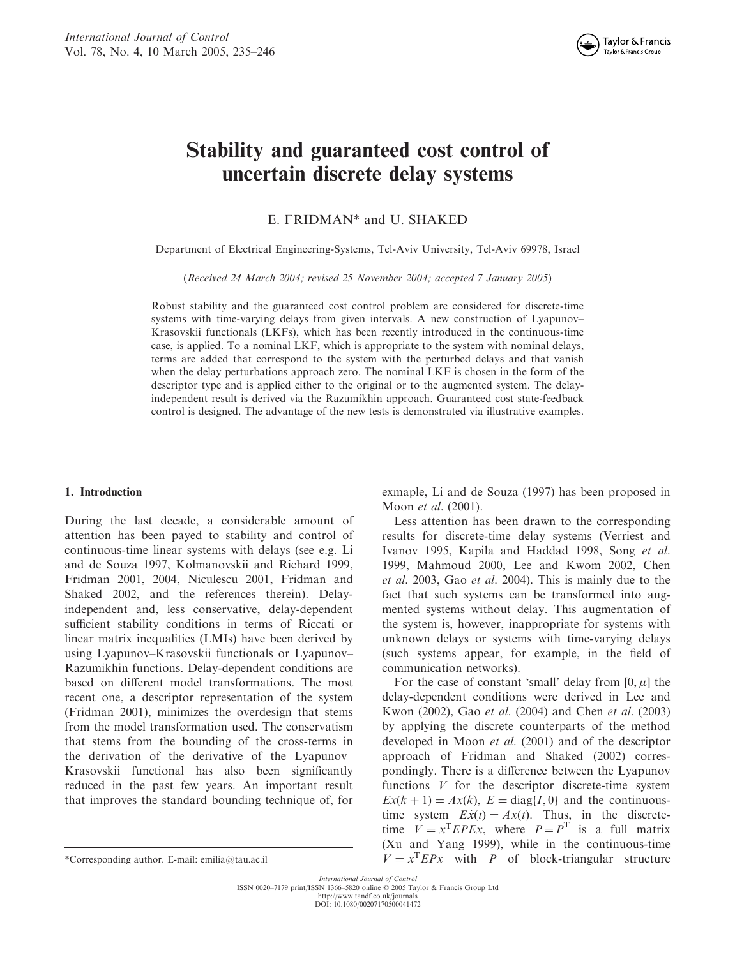

# Stability and guaranteed cost control of uncertain discrete delay systems

E. FRIDMAN\* and U. SHAKED

Department of Electrical Engineering-Systems, Tel-Aviv University, Tel-Aviv 69978, Israel

(Received 24 March 2004; revised 25 November 2004; accepted 7 January 2005)

Robust stability and the guaranteed cost control problem are considered for discrete-time systems with time-varying delays from given intervals. A new construction of Lyapunov– Krasovskii functionals (LKFs), which has been recently introduced in the continuous-time case, is applied. To a nominal LKF, which is appropriate to the system with nominal delays, terms are added that correspond to the system with the perturbed delays and that vanish when the delay perturbations approach zero. The nominal LKF is chosen in the form of the descriptor type and is applied either to the original or to the augmented system. The delayindependent result is derived via the Razumikhin approach. Guaranteed cost state-feedback control is designed. The advantage of the new tests is demonstrated via illustrative examples.

## 1. Introduction

During the last decade, a considerable amount of attention has been payed to stability and control of continuous-time linear systems with delays (see e.g. Li and de Souza 1997, Kolmanovskii and Richard 1999, Fridman 2001, 2004, Niculescu 2001, Fridman and Shaked 2002, and the references therein). Delayindependent and, less conservative, delay-dependent sufficient stability conditions in terms of Riccati or linear matrix inequalities (LMIs) have been derived by using Lyapunov–Krasovskii functionals or Lyapunov– Razumikhin functions. Delay-dependent conditions are based on different model transformations. The most recent one, a descriptor representation of the system (Fridman 2001), minimizes the overdesign that stems from the model transformation used. The conservatism that stems from the bounding of the cross-terms in the derivation of the derivative of the Lyapunov– Krasovskii functional has also been significantly reduced in the past few years. An important result that improves the standard bounding technique of, for

exmaple, Li and de Souza (1997) has been proposed in Moon et al. (2001).

Less attention has been drawn to the corresponding results for discrete-time delay systems (Verriest and Ivanov 1995, Kapila and Haddad 1998, Song et al. 1999, Mahmoud 2000, Lee and Kwom 2002, Chen et al. 2003, Gao et al. 2004). This is mainly due to the fact that such systems can be transformed into augmented systems without delay. This augmentation of the system is, however, inappropriate for systems with unknown delays or systems with time-varying delays (such systems appear, for example, in the field of communication networks).

For the case of constant 'small' delay from  $[0, \mu]$  the delay-dependent conditions were derived in Lee and Kwon (2002), Gao et al. (2004) and Chen et al. (2003) by applying the discrete counterparts of the method developed in Moon et al. (2001) and of the descriptor approach of Fridman and Shaked (2002) correspondingly. There is a difference between the Lyapunov functions  $V$  for the descriptor discrete-time system  $Ex(k + 1) = Ax(k), E = diag{I, 0}$  and the continuoustime system  $E\dot{x}(t) = Ax(t)$ . Thus, in the discretetime  $V = x^{T}EPEx$ , where  $P = P^{T}$  is a full matrix (Xu and Yang 1999), while in the continuous-time \*Corresponding author. E-mail: emilia@tau.ac.il  $V = x^T E P x$  with P of block-triangular structure

International Journal of Control<br>ISSN 0020-7179 print/ISSN 1366-5820 online © 2005 Taylor & Francis Group Ltd http://www.tandf.co.uk/journals

DOI: 10.1080/00207170500041472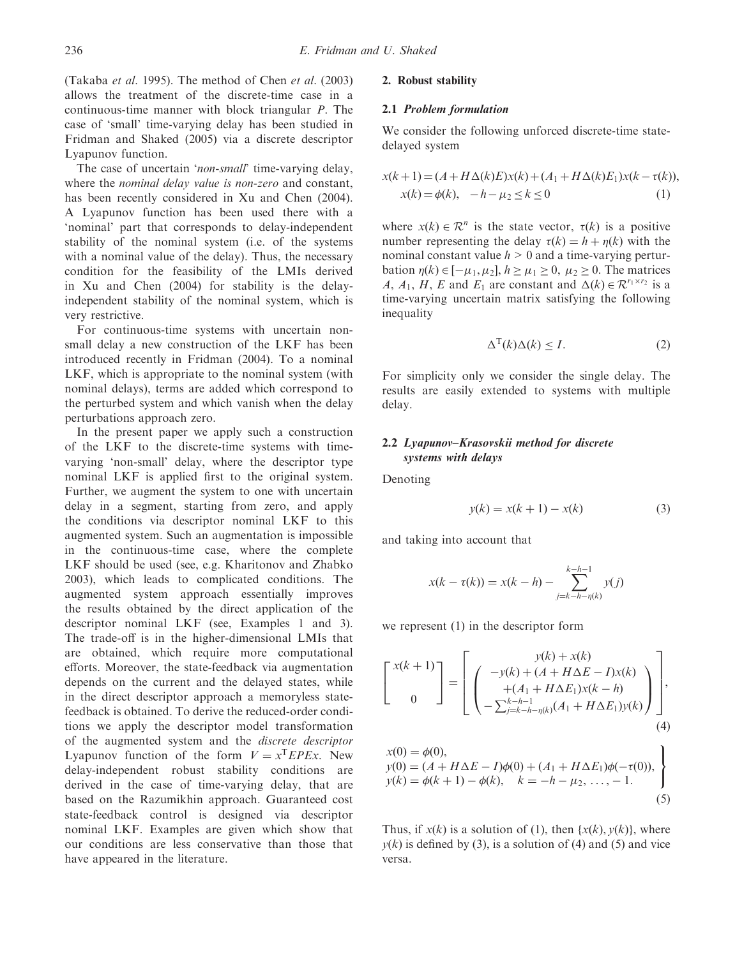(Takaba et al. 1995). The method of Chen et al. (2003) allows the treatment of the discrete-time case in a continuous-time manner with block triangular P. The case of 'small' time-varying delay has been studied in Fridman and Shaked (2005) via a discrete descriptor Lyapunov function.

The case of uncertain 'non-small' time-varying delay, where the *nominal delay value is non-zero* and constant, has been recently considered in Xu and Chen (2004). A Lyapunov function has been used there with a 'nominal' part that corresponds to delay-independent stability of the nominal system (i.e. of the systems with a nominal value of the delay). Thus, the necessary condition for the feasibility of the LMIs derived in Xu and Chen (2004) for stability is the delayindependent stability of the nominal system, which is very restrictive.

For continuous-time systems with uncertain nonsmall delay a new construction of the LKF has been introduced recently in Fridman (2004). To a nominal LKF, which is appropriate to the nominal system (with nominal delays), terms are added which correspond to the perturbed system and which vanish when the delay perturbations approach zero.

In the present paper we apply such a construction of the LKF to the discrete-time systems with timevarying 'non-small' delay, where the descriptor type nominal LKF is applied first to the original system. Further, we augment the system to one with uncertain delay in a segment, starting from zero, and apply the conditions via descriptor nominal LKF to this augmented system. Such an augmentation is impossible in the continuous-time case, where the complete LKF should be used (see, e.g. Kharitonov and Zhabko 2003), which leads to complicated conditions. The augmented system approach essentially improves the results obtained by the direct application of the descriptor nominal LKF (see, Examples 1 and 3). The trade-off is in the higher-dimensional LMIs that are obtained, which require more computational efforts. Moreover, the state-feedback via augmentation depends on the current and the delayed states, while in the direct descriptor approach a memoryless statefeedback is obtained. To derive the reduced-order conditions we apply the descriptor model transformation of the augmented system and the discrete descriptor Lyapunov function of the form  $V = x^{T}EPEx$ . New delay-independent robust stability conditions are derived in the case of time-varying delay, that are based on the Razumikhin approach. Guaranteed cost state-feedback control is designed via descriptor nominal LKF. Examples are given which show that our conditions are less conservative than those that have appeared in the literature.

# 2. Robust stability

## 2.1 Problem formulation

We consider the following unforced discrete-time statedelayed system

$$
x(k+1) = (A + H\Delta(k)E)x(k) + (A_1 + H\Delta(k)E_1)x(k - \tau(k)),
$$
  
\n
$$
x(k) = \phi(k), \quad -h - \mu_2 \le k \le 0
$$
 (1)

where  $x(k) \in \mathbb{R}^n$  is the state vector,  $\tau(k)$  is a positive number representing the delay  $\tau(k) = h + \eta(k)$  with the nominal constant value  $h > 0$  and a time-varying perturbation  $\eta(k) \in [-\mu_1, \mu_2], h \ge \mu_1 \ge 0, \mu_2 \ge 0$ . The matrices A,  $A_1$ , H, E and E<sub>1</sub> are constant and  $\Delta(k) \in \mathbb{R}^{r_1 \times r_2}$  is a time-varying uncertain matrix satisfying the following inequality

$$
\Delta^{\mathrm{T}}(k)\Delta(k) \le I. \tag{2}
$$

For simplicity only we consider the single delay. The results are easily extended to systems with multiple delay.

## 2.2 Lyapunov–Krasovskii method for discrete systems with delays

Denoting

$$
y(k) = x(k+1) - x(k)
$$
\n<sup>(3)</sup>

and taking into account that

$$
x(k - \tau(k)) = x(k - h) - \sum_{j=k-h-\eta(k)}^{k-h-1} y(j)
$$

we represent (1) in the descriptor form

$$
\begin{bmatrix} x(k+1) \\ 0 \end{bmatrix} = \begin{bmatrix} y(k) + x(k) \\ + (A + H\Delta E - I)x(k) \\ + (A_1 + H\Delta E_1)x(k - h) \\ - \sum_{j=k-h-\eta(k)}^{k-h-1} (A_1 + H\Delta E_1)y(k) \end{bmatrix},
$$
  
\n
$$
x(0) = \phi(0),
$$
  
\n
$$
y(0) = (A + H\Delta E - I)\phi(0) + (A_1 + H\Delta E_1)\phi(-\tau(0)),
$$
  
\n
$$
y(k) = \phi(k+1) - \phi(k), \quad k = -h - \mu_2, ..., -1.
$$
  
\n(5)

Thus, if  $x(k)$  is a solution of (1), then  $\{x(k), y(k)\}\)$ , where  $y(k)$  is defined by (3), is a solution of (4) and (5) and vice versa.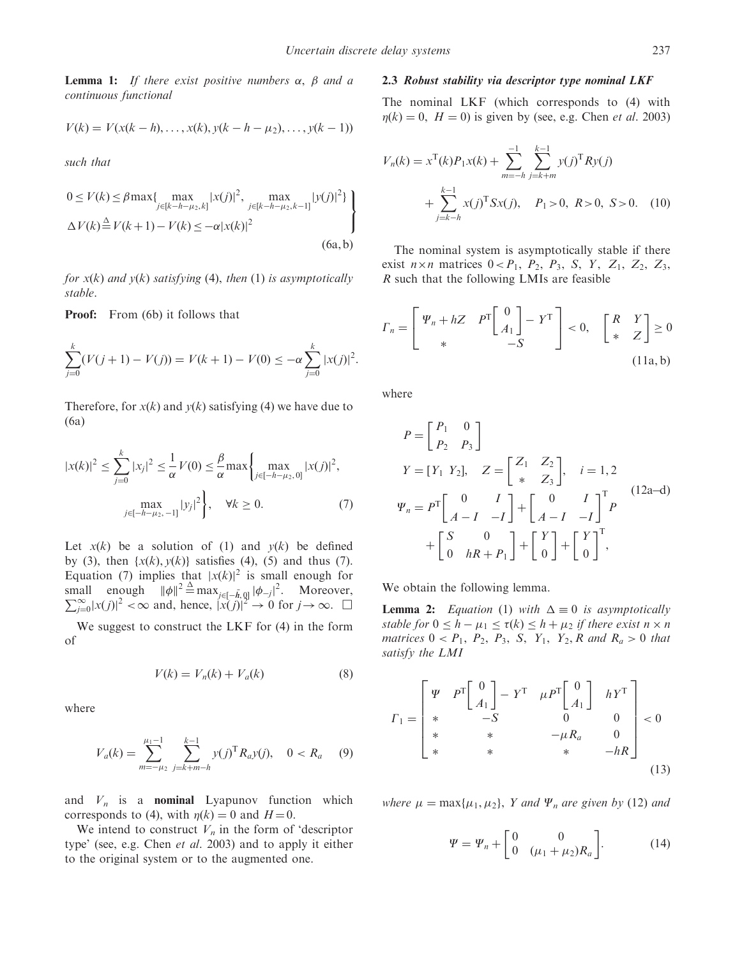**Lemma 1:** If there exist positive numbers  $\alpha$ ,  $\beta$  and a continuous functional

$$
V(k) = V(x(k - h), \dots, x(k), y(k - h - \mu_2), \dots, y(k - 1))
$$

such that

$$
0 \le V(k) \le \beta \max\{ \max_{j \in [k-h-\mu_2, k]} |x(j)|^2, \max_{j \in [k-h-\mu_2, k-1]} |y(j)|^2 \}
$$
  
 
$$
\Delta V(k) \stackrel{\Delta}{=} V(k+1) - V(k) \le -\alpha |x(k)|^2
$$
 (6a,b)

for  $x(k)$  and  $y(k)$  satisfying (4), then (1) is asymptotically stable.

Proof: From (6b) it follows that

$$
\sum_{j=0}^{k} (V(j+1) - V(j)) = V(k+1) - V(0) \le -\alpha \sum_{j=0}^{k} |x(j)|^2.
$$

Therefore, for  $x(k)$  and  $y(k)$  satisfying (4) we have due to (6a)

$$
|x(k)|^2 \le \sum_{j=0}^k |x_j|^2 \le \frac{1}{\alpha} V(0) \le \frac{\beta}{\alpha} \max \left\{ \max_{j \in [-h-\mu_2, 0]} |x(j)|^2, \max_{j \in [-h-\mu_2, -1]} |y_j|^2 \right\}, \quad \forall k \ge 0.
$$
 (7)

Let  $x(k)$  be a solution of (1) and  $y(k)$  be defined by (3), then  $\{x(k), y(k)\}$  satisfies (4), (5) and thus (7). Equation (7) implies that  $|x(k)|^2$  is small enough for small enough  $\|\phi\|^2 \triangleq \max_{j \in [-\bar{h}, 0]} |\phi_{-j}|^2$ small enough  $\|\phi\|^2 \triangleq \max_{j \in [-\bar{h},0]} |\phi_{-j}|^2$ . Moreover,<br>  $\sum_{j=0}^{\infty} |x(j)|^2 < \infty$  and, hence,  $|x(j)|^2 \to 0$  for  $j \to \infty$ .  $\square$ 

We suggest to construct the LKF for (4) in the form of

$$
V(k) = V_n(k) + V_a(k)
$$
 (8)

where

$$
V_a(k) = \sum_{m=-\mu_2}^{\mu_1-1} \sum_{j=k+m-h}^{k-1} y(j)^{\mathrm{T}} R_a y(j), \quad 0 < R_a \quad (9)
$$

and  $V_n$  is a **nominal** Lyapunov function which corresponds to (4), with  $\eta(k) = 0$  and  $H = 0$ .

We intend to construct  $V_n$  in the form of 'descriptor type' (see, e.g. Chen et al. 2003) and to apply it either to the original system or to the augmented one.

### 2.3 Robust stability via descriptor type nominal LKF

The nominal LKF (which corresponds to (4) with  $\eta(k) = 0$ ,  $H = 0$ ) is given by (see, e.g. Chen *et al.* 2003)

$$
V_n(k) = x^{\mathrm{T}}(k)P_1x(k) + \sum_{m=-h}^{-1} \sum_{j=k+m}^{k-1} y(j)^{\mathrm{T}} R y(j)
$$
  
+ 
$$
\sum_{j=k-h}^{k-1} x(j)^{\mathrm{T}} S x(j), \quad P_1 > 0, \quad R > 0, \quad S > 0. \quad (10)
$$

The nominal system is asymptotically stable if there exist  $n \times n$  matrices  $0 < P_1$ ,  $P_2$ ,  $P_3$ , S, Y, Z<sub>1</sub>, Z<sub>2</sub>, Z<sub>3</sub>, R such that the following LMIs are feasible

$$
\Gamma_n = \begin{bmatrix} \Psi_n + hZ & P^{\mathrm{T}} \begin{bmatrix} 0 \\ A_1 \end{bmatrix} - Y^{\mathrm{T}} \\ * & -S \end{bmatrix} < 0, \quad \begin{bmatrix} R & Y \\ * & Z \end{bmatrix} \ge 0
$$
\n(11a, b)

where

$$
P = \begin{bmatrix} P_1 & 0 \\ P_2 & P_3 \end{bmatrix}
$$
  
\n
$$
Y = [Y_1 \ Y_2], \quad Z = \begin{bmatrix} Z_1 & Z_2 \\ * & Z_3 \end{bmatrix}, \quad i = 1, 2
$$
  
\n
$$
\Psi_n = P^T \begin{bmatrix} 0 & I \\ A - I & -I \end{bmatrix} + \begin{bmatrix} 0 & I \\ A - I & -I \end{bmatrix}^T P
$$
  
\n
$$
+ \begin{bmatrix} S & 0 \\ 0 & hR + P_1 \end{bmatrix} + \begin{bmatrix} Y \\ 0 \end{bmatrix} + \begin{bmatrix} Y \\ 0 \end{bmatrix}^T,
$$
 (12a-d)

We obtain the following lemma.

**Lemma 2:** Equation (1) with  $\Delta \equiv 0$  is asymptotically stable for  $0 \leq h - \mu_1 \leq \tau(k) \leq h + \mu_2$  if there exist  $n \times n$ matrices  $0 < P_1$ ,  $P_2$ ,  $P_3$ ,  $S$ ,  $Y_1$ ,  $Y_2$ ,  $R$  and  $R_a > 0$  that satisfy the LMI

$$
I_{1} = \begin{bmatrix} \Psi & P^{\text{T}} \begin{bmatrix} 0 \\ A_{1} \end{bmatrix} - Y^{\text{T}} & \mu P^{\text{T}} \begin{bmatrix} 0 \\ A_{1} \end{bmatrix} & h Y^{\text{T}} \\ * & -S & 0 & 0 \\ * & * & -\mu R_{a} & 0 \\ * & * & * & -h R \end{bmatrix} < 0
$$
\n(13)

where  $\mu = \max\{\mu_1, \mu_2\}$ , Y and  $\Psi_n$  are given by (12) and

$$
\Psi = \Psi_n + \begin{bmatrix} 0 & 0 \\ 0 & (\mu_1 + \mu_2)R_a \end{bmatrix}.
$$
 (14)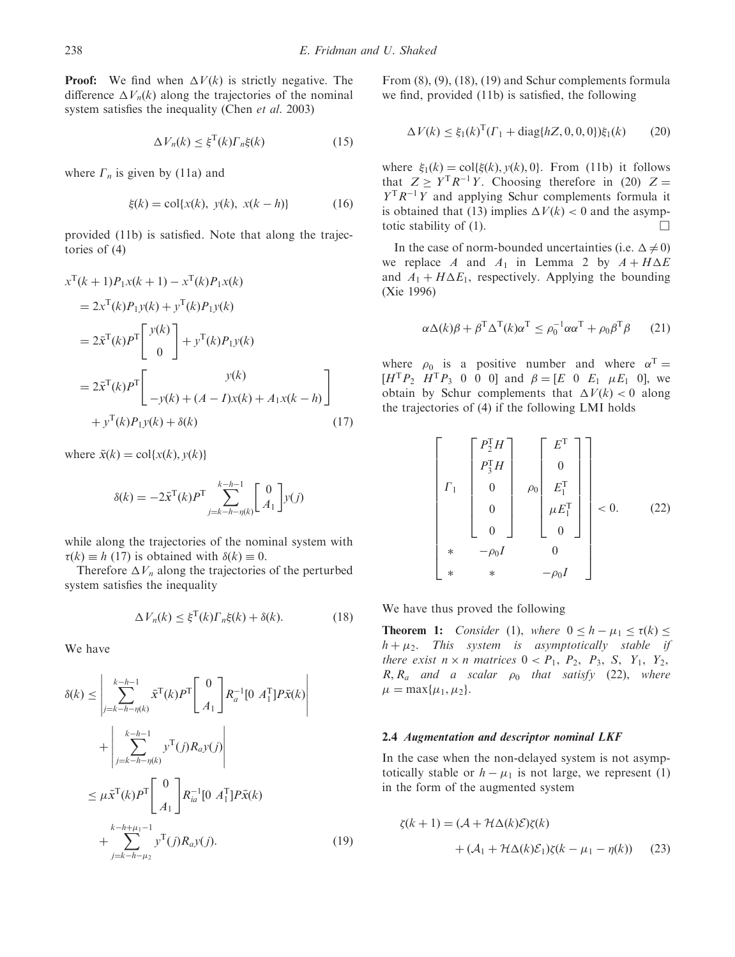**Proof:** We find when  $\Delta V(k)$  is strictly negative. The difference  $\Delta V_n(k)$  along the trajectories of the nominal system satisfies the inequality (Chen *et al.* 2003)

$$
\Delta V_n(k) \le \xi^{\mathrm{T}}(k) \Gamma_n \xi(k) \tag{15}
$$

where  $\Gamma_n$  is given by (11a) and

$$
\xi(k) = \text{col}\{x(k), \ y(k), \ x(k-h)\}\tag{16}
$$

provided (11b) is satisfied. Note that along the trajectories of (4)

$$
x^{T}(k+1)P_{1}x(k+1) - x^{T}(k)P_{1}x(k)
$$
  
=  $2x^{T}(k)P_{1}y(k) + y^{T}(k)P_{1}y(k)$   
=  $2\bar{x}^{T}(k)P^{T}\begin{bmatrix}y(k)\\0\end{bmatrix} + y^{T}(k)P_{1}y(k)$   
=  $2\bar{x}^{T}(k)P^{T}\begin{bmatrix}y(k)\\-y(k) + (A-I)x(k) + A_{1}x(k-h)\\+y^{T}(k)P_{1}y(k) + \delta(k)\end{bmatrix}$  (17)

where  $\bar{x}(k) = \text{col}\{x(k), y(k)\}$ 

$$
\delta(k) = -2\bar{x}^{\mathrm{T}}(k)P^{\mathrm{T}}\sum_{j=k-h-\eta(k)}^{k-h-1} \begin{bmatrix} 0\\ A_1 \end{bmatrix} y(j)
$$

while along the trajectories of the nominal system with  $\tau(k) \equiv h(17)$  is obtained with  $\delta(k) \equiv 0$ .

Therefore  $\Delta V_n$  along the trajectories of the perturbed system satisfies the inequality

$$
\Delta V_n(k) \le \xi^{\mathrm{T}}(k) \Gamma_n \xi(k) + \delta(k). \tag{18}
$$

We have

$$
\delta(k) \leq \left| \sum_{j=k-h-\eta(k)}^{k-h-1} \bar{x}^{\mathrm{T}}(k) P^{\mathrm{T}} \left[ \begin{array}{c} 0 \\ A_1 \end{array} \right] R_a^{-1} [0 \ A_1^{\mathrm{T}}] P \bar{x}(k) + \left| \sum_{j=k-h-\eta(k)}^{k-h-1} y^{\mathrm{T}}(j) R_a y(j) \right|
$$
  

$$
\leq \mu \bar{x}^{\mathrm{T}}(k) P^{\mathrm{T}} \left[ \begin{array}{c} 0 \\ A_1 \end{array} \right] R_{ia}^{-1} [0 \ A_1^{\mathrm{T}}] P \bar{x}(k) + \sum_{j=k-h-\mu_2}^{k-h+\mu_1-1} y^{\mathrm{T}}(j) R_a y(j). \tag{19}
$$

From (8), (9), (18), (19) and Schur complements formula we find, provided (11b) is satisfied, the following

$$
\Delta V(k) \le \xi_1(k)^{\mathrm{T}} (r_1 + \text{diag}\{hZ, 0, 0, 0\}) \xi_1(k) \tag{20}
$$

where  $\xi_1(k) = \text{col}\{\xi(k), y(k), 0\}$ . From (11b) it follows that  $Z \geq Y^{T} R^{-1} Y$ . Choosing therefore in (20)  $Z =$  $Y^{T}R^{-1}Y$  and applying Schur complements formula it is obtained that (13) implies  $\Delta V(k) < 0$  and the asymptotic stability of (1).  $\Box$ 

In the case of norm-bounded uncertainties (i.e.  $\Delta \neq 0$ ) we replace A and  $A_1$  in Lemma 2 by  $A + H\Delta E$ and  $A_1 + H \Delta E_1$ , respectively. Applying the bounding (Xie 1996)

$$
\alpha \Delta(k)\beta + \beta^{\mathrm{T}} \Delta^{\mathrm{T}}(k)\alpha^{\mathrm{T}} \le \rho_0^{-1} \alpha \alpha^{\mathrm{T}} + \rho_0 \beta^{\mathrm{T}} \beta \qquad (21)
$$

where  $\rho_0$  is a positive number and where  $\alpha^T =$  $[H^{\mathrm{T}}P_2 \ H^{\mathrm{T}}P_3 \ 0 \ 0 \ 0]$  and  $\beta = [E \ 0 \ E_1 \ \mu E_1 \ 0]$ , we obtain by Schur complements that  $\Delta V(k) < 0$  along the trajectories of (4) if the following LMI holds

$$
\begin{bmatrix}\nF_1^T H \\
F_3^T H \\
0 \\
0 \\
0 \\
0\n\end{bmatrix}\n\begin{bmatrix}\nE^T \\
0 \\
E_1^T \\
\mu E_1^T \\
0 \\
0\n\end{bmatrix} < 0.
$$
\n(22)\n
$$
\begin{bmatrix}\n\end{bmatrix}
$$
\n
$$
\begin{bmatrix}\nF_2^T H \\
0 \\
0 \\
\mu E_1^T \\
0\n\end{bmatrix} < 0.
$$
\n(23)

We have thus proved the following

**Theorem 1:** Consider (1), where  $0 \leq h - \mu_1 \leq \tau(k) \leq$  $h + \mu_2$ . This system is asymptotically stable if there exist  $n \times n$  matrices  $0 < P_1$ ,  $P_2$ ,  $P_3$ , S,  $Y_1$ ,  $Y_2$ ,  $R, R_a$  and a scalar  $\rho_0$  that satisfy (22), where  $\mu = \max\{\mu_1, \mu_2\}.$ 

#### 2.4 Augmentation and descriptor nominal LKF

In the case when the non-delayed system is not asymptotically stable or  $h - \mu_1$  is not large, we represent (1) in the form of the augmented system

$$
\zeta(k+1) = (\mathcal{A} + \mathcal{H}\Delta(k)\mathcal{E})\zeta(k)
$$

$$
+ (\mathcal{A}_1 + \mathcal{H}\Delta(k)\mathcal{E}_1)\zeta(k - \mu_1 - \eta(k)) \qquad (23)
$$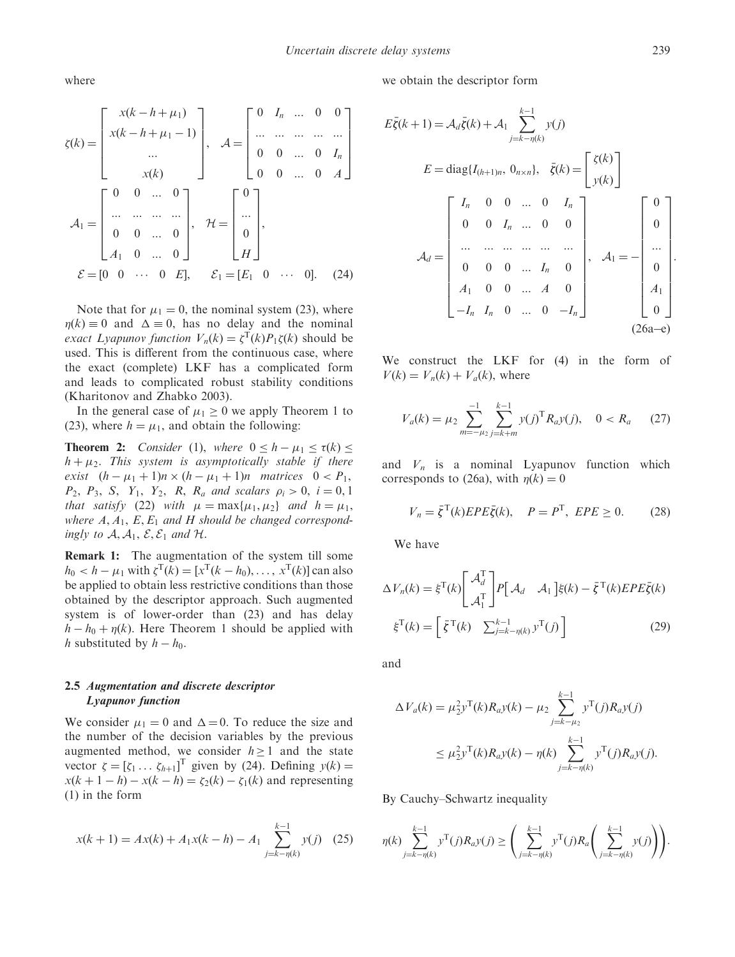where

$$
\zeta(k) = \begin{bmatrix} x(k-h+\mu_1) \\ x(k-h+\mu_1-1) \\ \dots \\ x(k) \end{bmatrix}, \quad \mathcal{A} = \begin{bmatrix} 0 & I_n & \dots & 0 & 0 \\ \dots & \dots & \dots & \dots \\ 0 & 0 & \dots & 0 & I_n \\ 0 & 0 & \dots & 0 & A \end{bmatrix}
$$

$$
\mathcal{A}_1 = \begin{bmatrix} 0 & 0 & \dots & 0 \\ \dots & \dots & \dots & \dots \\ 0 & 0 & \dots & 0 \\ A_1 & 0 & \dots & 0 \end{bmatrix}, \quad \mathcal{H} = \begin{bmatrix} 0 \\ \dots \\ 0 \\ H \end{bmatrix},
$$

$$
\mathcal{E} = \begin{bmatrix} 0 & 0 & \dots & 0 & E \end{bmatrix}, \quad \mathcal{E}_1 = \begin{bmatrix} E_1 & 0 & \dots & 0 \end{bmatrix}. \quad (24)
$$

Note that for  $\mu_1 = 0$ , the nominal system (23), where  $\eta(k) \equiv 0$  and  $\Delta \equiv 0$ , has no delay and the nominal exact Lyapunov function  $V_n(k) = \zeta^{\mathrm{T}}(k) P_1 \zeta(k)$  should be used. This is different from the continuous case, where the exact (complete) LKF has a complicated form and leads to complicated robust stability conditions (Kharitonov and Zhabko 2003).

In the general case of  $\mu_1 \geq 0$  we apply Theorem 1 to (23), where  $h = \mu_1$ , and obtain the following:

**Theorem 2:** Consider (1), where  $0 \leq h - \mu_1 \leq \tau(k) \leq$  $h + \mu_2$ . This system is asymptotically stable if there exist  $(h - \mu_1 + 1)n \times (h - \mu_1 + 1)n$  matrices  $0 < P_1$ ,  $P_2, P_3, S, Y_1, Y_2, R, R_a$  and scalars  $\rho_i > 0, i = 0, 1$ that satisfy (22) with  $\mu = \max\{\mu_1, \mu_2\}$  and  $h = \mu_1$ , where  $A, A_1, E, E_1$  and H should be changed correspondingly to  $A, A_1, E, E_1$  and  $H$ .

Remark 1: The augmentation of the system till some  $h_0 < h - \mu_1$  with  $\zeta^{\mathrm{T}}(k) = [x^{\mathrm{T}}(k - h_0), \dots, x^{\mathrm{T}}(k)]$  can also be applied to obtain less restrictive conditions than those obtained by the descriptor approach. Such augmented system is of lower-order than (23) and has delay  $h - h_0 + \eta(k)$ . Here Theorem 1 should be applied with *h* substituted by  $h - h_0$ .

## 2.5 Augmentation and discrete descriptor Lyapunov function

We consider  $\mu_1 = 0$  and  $\Delta = 0$ . To reduce the size and the number of the decision variables by the previous augmented method, we consider  $h \ge 1$  and the state vector  $\zeta = [\zeta_1 \dots \zeta_{h+1}]^T$  given by (24). Defining  $y(k) =$  $x(k+1-h) - x(k-h) = \zeta_2(k) - \zeta_1(k)$  and representing (1) in the form

$$
x(k+1) = Ax(k) + A_1x(k-h) - A_1 \sum_{j=k-\eta(k)}^{k-1} y(j)
$$
 (25)

we obtain the descriptor form

$$
E\bar{\zeta}(k+1) = \mathcal{A}_d\bar{\zeta}(k) + \mathcal{A}_1 \sum_{j=k-\eta(k)}^{k-1} y(j)
$$
  
\n
$$
E = \text{diag}\{I_{(h+1)n}, 0_{n \times n}\}, \quad \bar{\zeta}(k) = \begin{bmatrix} \zeta(k) \\ y(k) \end{bmatrix}
$$
  
\n
$$
\mathcal{A}_d = \begin{bmatrix} I_n & 0 & 0 & \dots & 0 & I_n \\ 0 & 0 & I_n & \dots & 0 & 0 \\ \dots & \dots & \dots & \dots & \dots & \dots \\ 0 & 0 & 0 & \dots & I_n & 0 \\ A_1 & 0 & 0 & \dots & A & 0 \\ -I_n & I_n & 0 & \dots & 0 & -I_n \end{bmatrix}, \quad \mathcal{A}_1 = - \begin{bmatrix} 0 \\ 0 \\ \dots \\ 0 \\ A_1 \\ 0 \end{bmatrix}
$$
  
\n(26a-e)

We construct the LKF for  $(4)$  in the form of  $V(k) = V_n(k) + V_a(k)$ , where

$$
V_a(k) = \mu_2 \sum_{m=-\mu_2}^{-1} \sum_{j=k+m}^{k-1} y(j)^{\mathrm{T}} R_a y(j), \quad 0 < R_a \tag{27}
$$

and  $V_n$  is a nominal Lyapunov function which corresponds to (26a), with  $\eta(k) = 0$ 

$$
V_n = \bar{\xi}^{\mathrm{T}}(k) EPE\bar{\xi}(k), \quad P = P^{\mathrm{T}}, \ EPE \ge 0. \tag{28}
$$

We have

$$
\Delta V_n(k) = \xi^{\mathrm{T}}(k) \begin{bmatrix} \mathcal{A}_d^{\mathrm{T}} \\ \mathcal{A}_1^{\mathrm{T}} \end{bmatrix} P \begin{bmatrix} \mathcal{A}_d & \mathcal{A}_1 \end{bmatrix} \xi(k) - \bar{\xi}^{\mathrm{T}}(k) E P E \bar{\xi}(k)
$$

$$
\xi^{\mathrm{T}}(k) = \begin{bmatrix} \bar{\xi}^{\mathrm{T}}(k) & \sum_{j=k-\eta(k)}^{k-1} y^{\mathrm{T}}(j) \end{bmatrix}
$$
(29)

and

$$
\Delta V_a(k) = \mu_2^2 y^{\mathrm{T}}(k) R_a y(k) - \mu_2 \sum_{j=k-\mu_2}^{k-1} y^{\mathrm{T}}(j) R_a y(j)
$$
  

$$
\leq \mu_2^2 y^{\mathrm{T}}(k) R_a y(k) - \eta(k) \sum_{j=k-\eta(k)}^{k-1} y^{\mathrm{T}}(j) R_a y(j).
$$

By Cauchy–Schwartz inequality

$$
\eta(k)\sum_{j=k-\eta(k)}^{k-1}y^{\text{T}}(j)R_a y(j) \geq \left(\sum_{j=k-\eta(k)}^{k-1}y^{\text{T}}(j)R_a \left(\sum_{j=k-\eta(k)}^{k-1}y(j)\right)\right).
$$

: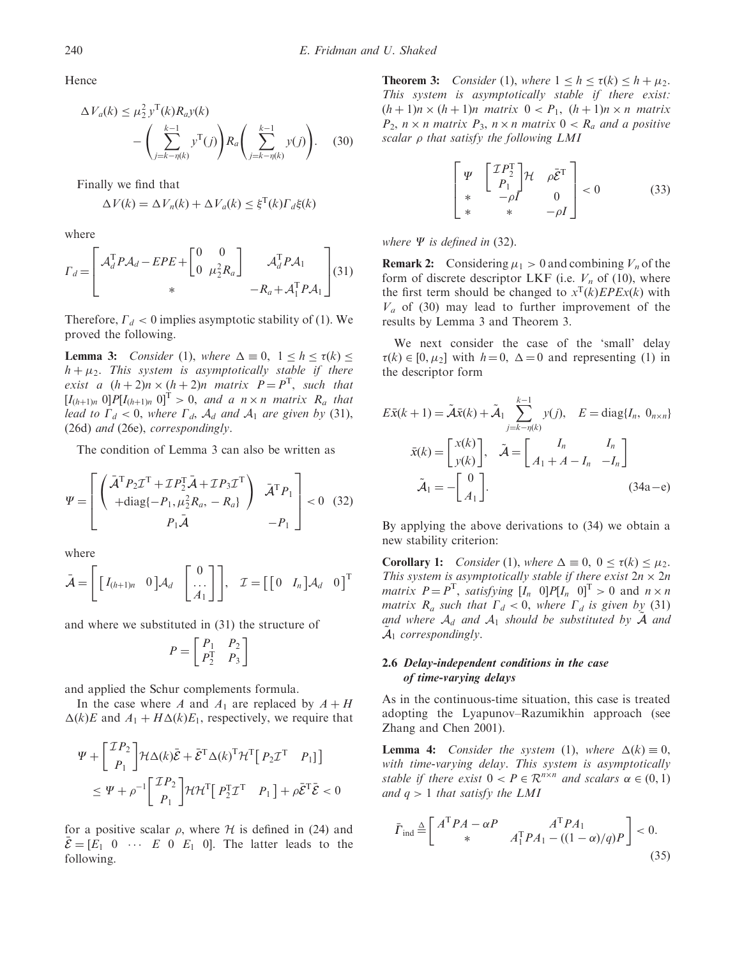Hence

$$
\Delta V_a(k) \le \mu_2^2 \, y^{\mathrm{T}}(k) R_a y(k) \n- \left( \sum_{j=k-\eta(k)}^{k-1} y^{\mathrm{T}}(j) \right) R_a \left( \sum_{j=k-\eta(k)}^{k-1} y(j) \right). \tag{30}
$$

Finally we find that

$$
\Delta V(k) = \Delta V_n(k) + \Delta V_a(k) \le \xi^{T}(k) \Gamma_d \xi(k)
$$

where

$$
I_d = \begin{bmatrix} \mathcal{A}_d^{\mathrm{T}} P \mathcal{A}_d - E P E + \begin{bmatrix} 0 & 0 \\ 0 & \mu_2^2 R_a \end{bmatrix} & \mathcal{A}_d^{\mathrm{T}} P \mathcal{A}_1 \\ * & -R_a + \mathcal{A}_1^{\mathrm{T}} P \mathcal{A}_1 \end{bmatrix} (31)
$$

Therefore,  $\Gamma_d < 0$  implies asymptotic stability of (1). We proved the following.

**Lemma 3:** Consider (1), where  $\Delta \equiv 0$ ,  $1 \le h \le \tau(k) \le$  $h + \mu_2$ . This system is asymptotically stable if there exist a  $(h+2)n \times (h+2)n$  matrix  $P = P<sup>T</sup>$ , such that  $[I_{(h+1)n} \ 0]P[I_{(h+1)n} \ 0]^\text{T} > 0$ , and a  $n \times n$  matrix  $R_a$  that lead to  $\Gamma_d < 0$ , where  $\Gamma_d$ ,  $\mathcal{A}_d$  and  $\mathcal{A}_1$  are given by (31), (26d) and (26e), correspondingly.

The condition of Lemma 3 can also be written as

$$
\Psi = \begin{bmatrix} \begin{pmatrix} \bar{\mathcal{A}}^{\mathrm{T}} P_2 \mathcal{I}^{\mathrm{T}} + \mathcal{I} P_2^{\mathrm{T}} \bar{\mathcal{A}} + \mathcal{I} P_3 \mathcal{I}^{\mathrm{T}} \\ + \mathrm{diag} \{-P_1, \mu_2^2 R_a, -R_a \} \end{pmatrix} & \bar{\mathcal{A}}^{\mathrm{T}} P_1 \\ P_1 \bar{\mathcal{A}} & -P_1 \end{bmatrix} < 0 \quad (32)
$$

where

$$
\bar{\mathcal{A}} = \left[ \begin{bmatrix} I_{(h+1)n} & 0 \end{bmatrix} \mathcal{A}_d \begin{bmatrix} 0 \\ \dots \\ A_1 \end{bmatrix} \right], \quad \mathcal{I} = \left[ \begin{bmatrix} 0 & I_n \end{bmatrix} \mathcal{A}_d \quad 0 \right]^{\mathrm{T}}
$$

and where we substituted in (31) the structure of

$$
P = \begin{bmatrix} P_1 & P_2 \\ P_2^T & P_3 \end{bmatrix}
$$

and applied the Schur complements formula.

In the case where A and  $A_1$  are replaced by  $A + H$  $\Delta(k)E$  and  $A_1 + H\Delta(k)E_1$ , respectively, we require that

$$
\Psi + \begin{bmatrix} \mathcal{I}P_2 \\ P_1 \end{bmatrix} \mathcal{H}\Delta(k)\bar{\mathcal{E}} + \bar{\mathcal{E}}^{\mathrm{T}}\Delta(k)^{\mathrm{T}}\mathcal{H}^{\mathrm{T}} \begin{bmatrix} P_2\mathcal{I}^{\mathrm{T}} & P_1 \end{bmatrix} \leq \Psi + \rho^{-1} \begin{bmatrix} \mathcal{I}P_2 \\ P_1 \end{bmatrix} \mathcal{H}\mathcal{H}^{\mathrm{T}} \begin{bmatrix} P_2^{\mathrm{T}}\mathcal{I}^{\mathrm{T}} & P_1 \end{bmatrix} + \rho \bar{\mathcal{E}}^{\mathrm{T}}\bar{\mathcal{E}} < 0
$$

for a positive scalar  $\rho$ , where H is defined in (24) and  $\mathcal{E} = [E_1 \ 0 \ \cdots \ E \ 0 \ E_1 \ 0].$  The latter leads to the following.

**Theorem 3:** Consider (1), where  $1 \leq h \leq \tau(k) \leq h + \mu_2$ . This system is asymptotically stable if there exist:  $(h+1)n \times (h+1)n$  matrix  $0 < P_1$ ,  $(h+1)n \times n$  matrix  $P_2$ ,  $n \times n$  matrix  $P_3$ ,  $n \times n$  matrix  $0 \lt R_a$  and a positive scalar  $\rho$  that satisfy the following LMI

$$
\begin{bmatrix}\n\Psi & \begin{bmatrix}\n\mathcal{I}P_2^{\mathrm{T}} \\
P_1\n\end{bmatrix} \mathcal{H} & \rho \bar{\mathcal{E}}^{\mathrm{T}} \\
* & -\rho I & 0 \\
* & * & -\rho I\n\end{bmatrix} < 0 \tag{33}
$$

#### where  $\Psi$  is defined in (32).

**Remark 2:** Considering  $\mu_1 > 0$  and combining  $V_n$  of the form of discrete descriptor LKF (i.e.  $V_n$  of (10), where the first term should be changed to  $x^T(k)EPEx(k)$  with  $V_a$  of (30) may lead to further improvement of the results by Lemma 3 and Theorem 3.

We next consider the case of the 'small' delay  $\tau(k) \in [0, \mu_2]$  with  $h = 0$ ,  $\Delta = 0$  and representing (1) in the descriptor form

$$
E\bar{x}(k+1) = \tilde{A}\bar{x}(k) + \tilde{A}_1 \sum_{j=k-\eta(k)}^{k-1} y(j), \quad E = \text{diag}\{I_n, 0_{n \times n}\}
$$

$$
\bar{x}(k) = \begin{bmatrix} x(k) \\ y(k) \end{bmatrix}, \quad \tilde{A} = \begin{bmatrix} I_n & I_n \\ A_1 + A - I_n & -I_n \end{bmatrix}
$$

$$
\tilde{A}_1 = -\begin{bmatrix} 0 \\ A_1 \end{bmatrix}.
$$
(34a-e)

By applying the above derivations to (34) we obtain a new stability criterion:

**Corollary 1:** Consider (1), where  $\Delta \equiv 0$ ,  $0 \le \tau(k) \le \mu_2$ . This system is asymptotically stable if there exist  $2n \times 2n$ *matrix*  $P = P^{T}$ , *satisfying*  $[I_n \ 0]P[I_n \ 0]^{T} > 0$  and  $n \times n$ matrix  $R_a$  such that  $\Gamma_d < 0$ , where  $\Gamma_d$  is given by (31) and where  $A_d$  and  $A_1$  should be substituted by  $\overline{A}$  and  $\mathcal{A}_1$  correspondingly.

## 2.6 Delay-independent conditions in the case of time-varying delays

As in the continuous-time situation, this case is treated adopting the Lyapunov–Razumikhin approach (see Zhang and Chen 2001).

**Lemma 4:** Consider the system (1), where  $\Delta(k) \equiv 0$ , with time-varying delay. This system is asymptotically stable if there exist  $0 < P \in \mathbb{R}^{n \times n}$  and scalars  $\alpha \in (0, 1)$ and  $q > 1$  that satisfy the LMI

$$
\bar{\Gamma}_{\text{ind}} \stackrel{\Delta}{=} \begin{bmatrix} A^{\text{T}} P A - \alpha P & A^{\text{T}} P A_1 \\ * & A_1^{\text{T}} P A_1 - ((1 - \alpha)/q) P \end{bmatrix} < 0. \tag{35}
$$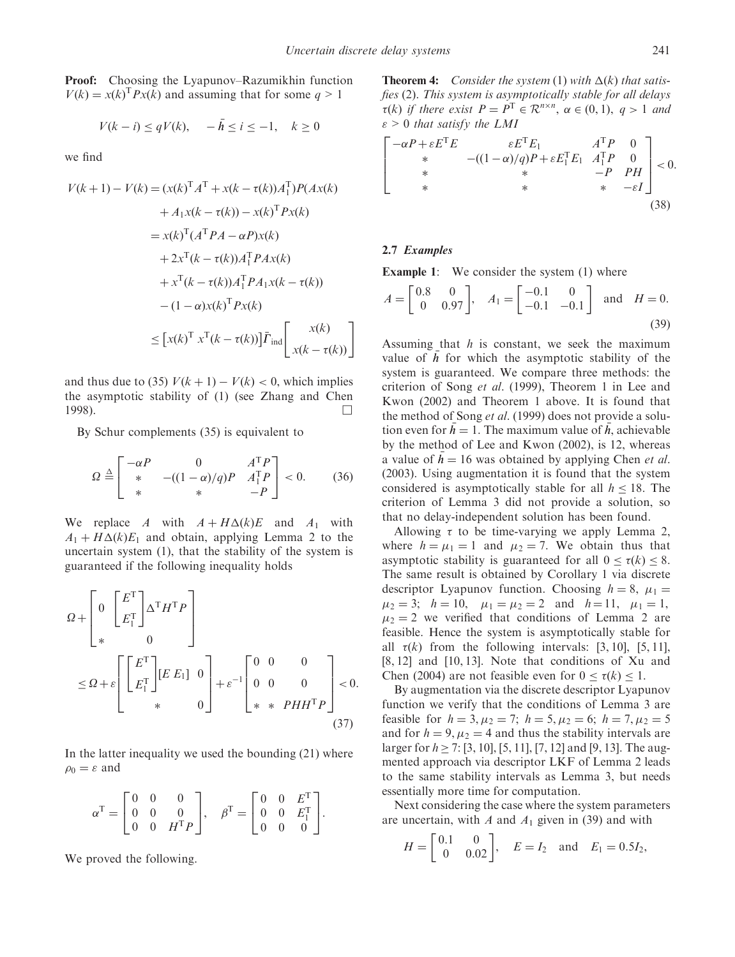Proof: Choosing the Lyapunov–Razumikhin function  $V(k) = x(k)^{\text{T}} P x(k)$  and assuming that for some  $q > 1$ 

$$
V(k - i) \le qV(k), \quad -\bar{h} \le i \le -1, \quad k \ge 0
$$

we find

$$
V(k+1) - V(k) = (x(k)^T A^T + x(k - \tau(k))A_1^T)P(Ax(k)
$$
  
+  $A_1x(k - \tau(k)) - x(k)^T Px(k)$   
=  $x(k)^T (A^T P A - \alpha P)x(k)$   
+  $2x^T (k - \tau(k))A_1^T P A x(k)$   
+  $x^T (k - \tau(k))A_1^T P A_1 x(k - \tau(k))$   
-  $(1 - \alpha)x(k)^T P x(k)$   
 $\le [x(k)^T x^T (k - \tau(k))] \bar{F}_{ind} \begin{bmatrix} x(k) \\ x(k - \tau(k)) \end{bmatrix}$ 

and thus due to (35)  $V(k + 1) - V(k) < 0$ , which implies the asymptotic stability of (1) (see Zhang and Chen 1998).  $\Box$ 

By Schur complements (35) is equivalent to

$$
\Omega \stackrel{\Delta}{=} \begin{bmatrix} -\alpha P & 0 & A^{\mathrm{T}} P \\ * & -( (1 - \alpha) / q) P & A_1^{\mathrm{T}} P \\ * & * & -P \end{bmatrix} < 0. \tag{36}
$$

We replace A with  $A + H\Delta(k)E$  and  $A_1$  with  $A_1 + H\Delta(k)E_1$  and obtain, applying Lemma 2 to the uncertain system (1), that the stability of the system is guaranteed if the following inequality holds

O þ 0 E<sup>T</sup> E<sup>T</sup> 1 " #<sup>T</sup>H<sup>T</sup>P 0 2 6 6 4 3 7 7 5 O þ " E<sup>T</sup> E<sup>T</sup> 1 " #½E E1 0 0 2 6 6 4 3 7 7 5 þ "-1 00 0 00 0 PHH<sup>T</sup>P 2 6 6 4 3 7 7 5 < 0: ð37Þ

In the latter inequality we used the bounding (21) where  $\rho_0 = \varepsilon$  and

$$
\alpha^{\mathrm{T}} = \begin{bmatrix} 0 & 0 & 0 \\ 0 & 0 & 0 \\ 0 & 0 & H^{\mathrm{T}} P \end{bmatrix}, \quad \beta^{\mathrm{T}} = \begin{bmatrix} 0 & 0 & E^{\mathrm{T}} \\ 0 & 0 & E_1^{\mathrm{T}} \\ 0 & 0 & 0 \end{bmatrix}.
$$

We proved the following.

**Theorem 4:** Consider the system (1) with  $\Delta(k)$  that satisfies (2). This system is asymptotically stable for all delays  $\tau(k)$  if there exist  $P = P^T \in \mathcal{R}^{n \times n}$ ,  $\alpha \in (0, 1)$ ,  $q > 1$  and  $\varepsilon > 0$  that satisfy the LMI

$$
\begin{bmatrix}\n-\alpha P + \varepsilon E^{T} E & \varepsilon E^{T} E_{1} & A^{T} P & 0 \\
\ast & -(1 - \alpha) / q) P + \varepsilon E_{1}^{T} E_{1} & A_{1}^{T} P & 0 \\
\ast & \ast & -P & P H \\
\ast & \ast & \ast & -\varepsilon I\n\end{bmatrix} < 0.
$$
\n(38)

#### 2.7 Examples

Example 1: We consider the system (1) where

$$
A = \begin{bmatrix} 0.8 & 0 \\ 0 & 0.97 \end{bmatrix}, A_1 = \begin{bmatrix} -0.1 & 0 \\ -0.1 & -0.1 \end{bmatrix} \text{ and } H = 0.
$$
 (39)

Assuming that  $h$  is constant, we seek the maximum value of  $\overline{h}$  for which the asymptotic stability of the system is guaranteed. We compare three methods: the criterion of Song et al. (1999), Theorem 1 in Lee and Kwon (2002) and Theorem 1 above. It is found that the method of Song *et al.* (1999) does not provide a solution even for  $\bar{h} = 1$ . The maximum value of  $\bar{h}$ , achievable by the method of Lee and Kwon (2002), is 12, whereas a value of  $\bar{h} = 16$  was obtained by applying Chen *et al.* (2003). Using augmentation it is found that the system considered is asymptotically stable for all  $h \le 18$ . The criterion of Lemma 3 did not provide a solution, so that no delay-independent solution has been found.

Allowing  $\tau$  to be time-varying we apply Lemma 2, where  $h = \mu_1 = 1$  and  $\mu_2 = 7$ . We obtain thus that asymptotic stability is guaranteed for all  $0 \le \tau(k) \le 8$ . The same result is obtained by Corollary 1 via discrete descriptor Lyapunov function. Choosing  $h = 8$ ,  $\mu_1 =$  $\mu_2 = 3; \quad h = 10, \quad \mu_1 = \mu_2 = 2 \quad \text{and} \quad h = 11, \quad \mu_1 = 1,$  $\mu_2 = 2$  we verified that conditions of Lemma 2 are feasible. Hence the system is asymptotically stable for all  $\tau(k)$  from the following intervals: [3, 10], [5, 11],  $[8, 12]$  and  $[10, 13]$ . Note that conditions of Xu and Chen (2004) are not feasible even for  $0 \le \tau(k) \le 1$ .

By augmentation via the discrete descriptor Lyapunov function we verify that the conditions of Lemma 3 are feasible for  $h = 3, \mu_2 = 7$ ;  $h = 5, \mu_2 = 6$ ;  $h = 7, \mu_2 = 5$ and for  $h = 9, \mu_2 = 4$  and thus the stability intervals are larger for  $h \ge 7$ : [3, 10], [5, 11], [7, 12] and [9, 13]. The augmented approach via descriptor LKF of Lemma 2 leads to the same stability intervals as Lemma 3, but needs essentially more time for computation.

Next considering the case where the system parameters are uncertain, with  $A$  and  $A_1$  given in (39) and with

$$
H = \begin{bmatrix} 0.1 & 0 \\ 0 & 0.02 \end{bmatrix}, \quad E = I_2 \text{ and } E_1 = 0.5I_2,
$$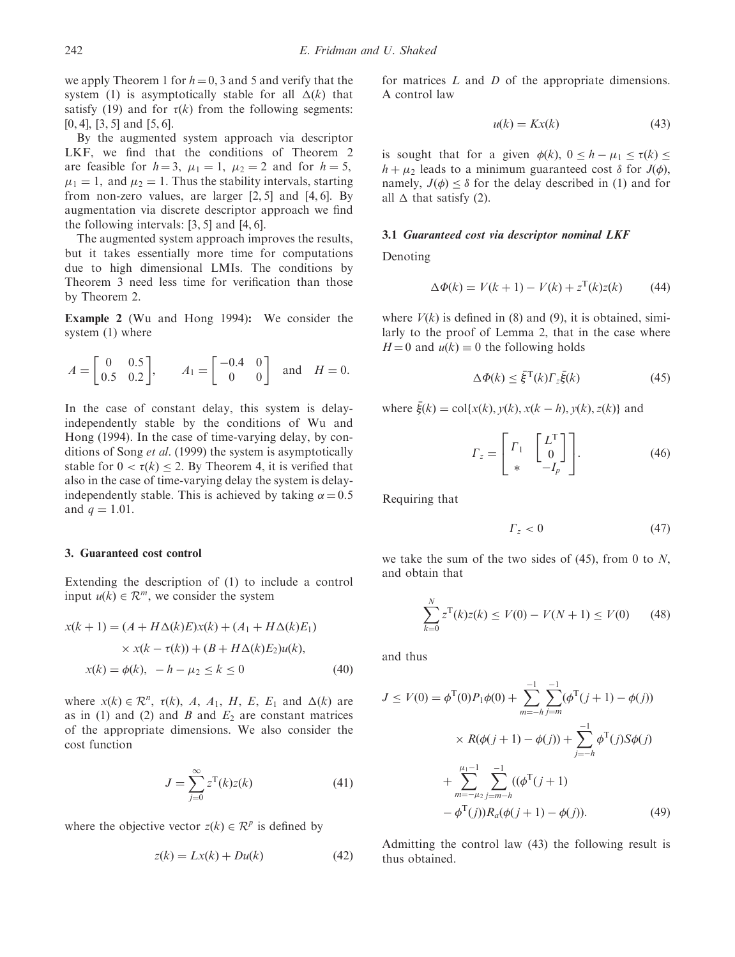we apply Theorem 1 for  $h = 0$ , 3 and 5 and verify that the system (1) is asymptotically stable for all  $\Delta(k)$  that satisfy (19) and for  $\tau(k)$  from the following segments:  $[0, 4]$ ,  $[3, 5]$  and  $[5, 6]$ .

By the augmented system approach via descriptor LKF, we find that the conditions of Theorem 2 are feasible for  $h = 3$ ,  $\mu_1 = 1$ ,  $\mu_2 = 2$  and for  $h = 5$ ,  $\mu_1 = 1$ , and  $\mu_2 = 1$ . Thus the stability intervals, starting from non-zero values, are larger  $[2, 5]$  and  $[4, 6]$ . By augmentation via discrete descriptor approach we find the following intervals:  $[3, 5]$  and  $[4, 6]$ .

The augmented system approach improves the results, but it takes essentially more time for computations due to high dimensional LMIs. The conditions by Theorem 3 need less time for verification than those by Theorem 2.

Example 2 (Wu and Hong 1994): We consider the system (1) where

$$
A = \begin{bmatrix} 0 & 0.5 \\ 0.5 & 0.2 \end{bmatrix}, \qquad A_1 = \begin{bmatrix} -0.4 & 0 \\ 0 & 0 \end{bmatrix} \text{ and } H = 0.
$$

In the case of constant delay, this system is delayindependently stable by the conditions of Wu and Hong (1994). In the case of time-varying delay, by conditions of Song et al. (1999) the system is asymptotically stable for  $0 < \tau(k) \leq 2$ . By Theorem 4, it is verified that also in the case of time-varying delay the system is delayindependently stable. This is achieved by taking  $\alpha = 0.5$ and  $q = 1.01$ .

#### 3. Guaranteed cost control

Extending the description of (1) to include a control input  $u(k) \in \mathbb{R}^m$ , we consider the system

$$
x(k + 1) = (A + H\Delta(k)E)x(k) + (A_1 + H\Delta(k)E_1)
$$
  
 
$$
\times x(k - \tau(k)) + (B + H\Delta(k)E_2)u(k),
$$
  
 
$$
x(k) = \phi(k), \ -h - \mu_2 \le k \le 0
$$
 (40)

where  $x(k) \in \mathbb{R}^n$ ,  $\tau(k)$ , A, A<sub>1</sub>, H, E, E<sub>1</sub> and  $\Delta(k)$  are as in (1) and (2) and  $B$  and  $E<sub>2</sub>$  are constant matrices of the appropriate dimensions. We also consider the cost function

$$
J = \sum_{j=0}^{\infty} z^{\mathrm{T}}(k)z(k)
$$
 (41)

where the objective vector  $z(k) \in \mathcal{R}^p$  is defined by

$$
z(k) = Lx(k) + Du(k)
$$
 (42)

for matrices  $L$  and  $D$  of the appropriate dimensions. A control law

$$
u(k) = Kx(k) \tag{43}
$$

is sought that for a given  $\phi(k)$ ,  $0 \le h - \mu_1 \le \tau(k) \le$  $h + \mu_2$  leads to a minimum guaranteed cost  $\delta$  for  $J(\phi)$ , namely,  $J(\phi) \leq \delta$  for the delay described in (1) and for all  $\Delta$  that satisfy (2).

#### 3.1 Guaranteed cost via descriptor nominal LKF

Denoting

$$
\Delta \Phi(k) = V(k+1) - V(k) + z^{T}(k)z(k)
$$
 (44)

where  $V(k)$  is defined in (8) and (9), it is obtained, similarly to the proof of Lemma 2, that in the case where  $H = 0$  and  $u(k) \equiv 0$  the following holds

$$
\Delta \Phi(k) \le \bar{\xi}^{\mathrm{T}}(k) \Gamma_z \bar{\xi}(k) \tag{45}
$$

where  $\bar{\xi}(k) = \text{col}\{x(k), y(k), x(k-h), y(k), z(k)\}$  and

$$
\Gamma_z = \begin{bmatrix} \Gamma_1 & \begin{bmatrix} L^T \\ 0 \end{bmatrix} \\ * & -I_p \end{bmatrix} . \tag{46}
$$

Requiring that

$$
\Gamma_z < 0 \tag{47}
$$

we take the sum of the two sides of  $(45)$ , from 0 to N, and obtain that

$$
\sum_{k=0}^{N} z^{\mathrm{T}}(k)z(k) \le V(0) - V(N+1) \le V(0) \tag{48}
$$

and thus

$$
J \le V(0) = \phi^{T}(0)P_{1}\phi(0) + \sum_{m=-h}^{-1} \sum_{j=m}^{-1} (\phi^{T}(j+1) - \phi(j))
$$
  
 
$$
\times R(\phi(j+1) - \phi(j)) + \sum_{j=-h}^{-1} \phi^{T}(j)S\phi(j)
$$
  
 
$$
+ \sum_{m=-\mu_{2}}^{\mu_{1}-1} \sum_{j=m-h}^{-1} ((\phi^{T}(j+1)
$$
  
 
$$
- \phi^{T}(j))R_{a}(\phi(j+1) - \phi(j)). \tag{49}
$$

Admitting the control law (43) the following result is thus obtained.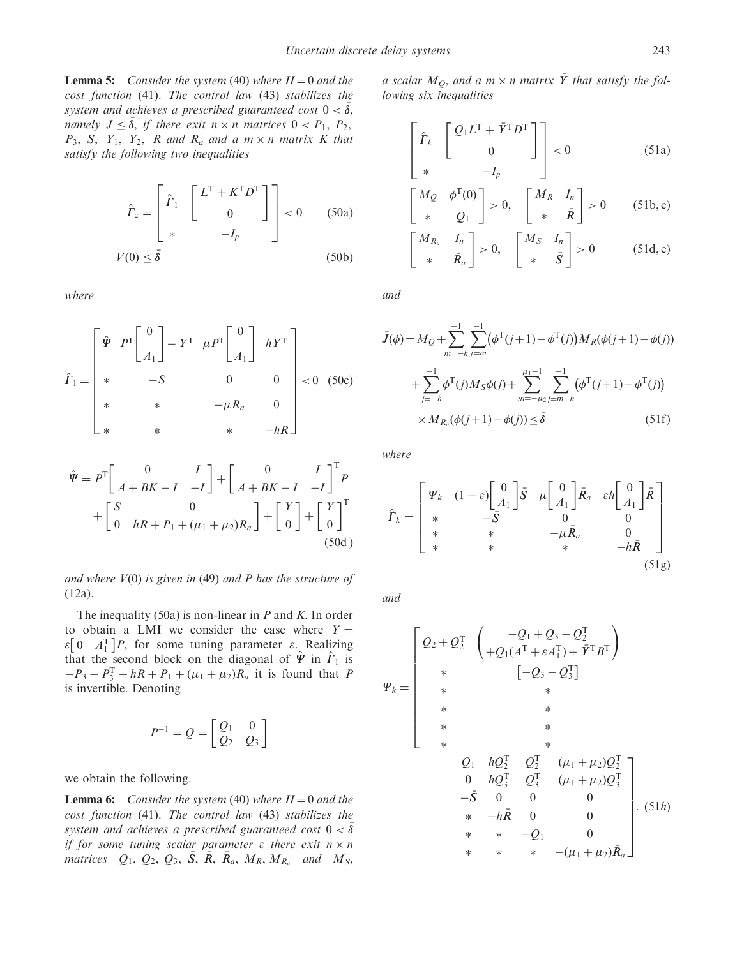**Lemma 5:** Consider the system (40) where  $H = 0$  and the cost function (41). The control law (43) stabilizes the system and achieves a prescribed guaranteed cost  $0 < \bar{\delta}$ , namely  $J \leq \overline{\delta}$ , if there exit  $n \times n$  matrices  $0 < P_1$ ,  $P_2$ ,  $P_3$ , S, Y<sub>1</sub>, Y<sub>2</sub>, R and R<sub>a</sub> and a m × n matrix K that satisfy the following two inequalities

$$
\hat{\Gamma}_z = \begin{bmatrix} \hat{r}_1 & \begin{bmatrix} L^{\mathrm{T}} + K^{\mathrm{T}} D^{\mathrm{T}} \\ 0 & \end{bmatrix} \end{bmatrix} < 0 \quad (50a)
$$

$$
V(0) \le \bar{\delta} \quad (50b)
$$

where

$$
\hat{\Gamma}_1 = \begin{bmatrix} \hat{\Psi} & P^T \begin{bmatrix} 0 \\ A_1 \end{bmatrix} - Y^T & \mu P^T \begin{bmatrix} 0 \\ A_1 \end{bmatrix} & hY^T \\ * & -S & 0 & 0 \\ * & * & -\mu R_a & 0 \\ * & * & * & -hR \end{bmatrix} < 0 \quad (50c)
$$

$$
\hat{\Psi} = P^{\text{T}} \begin{bmatrix} 0 & I \\ A + BK - I & -I \end{bmatrix} + \begin{bmatrix} 0 & I \\ A + BK - I & -I \end{bmatrix}^{\text{T}} P + \begin{bmatrix} S & 0 \\ 0 & hR + P_1 + (\mu_1 + \mu_2)R_a \end{bmatrix} + \begin{bmatrix} Y \\ 0 \end{bmatrix} + \begin{bmatrix} Y \\ 0 \end{bmatrix}^{\text{T}} \tag{50d}
$$

and where  $V(0)$  is given in (49) and P has the structure of (12a).

The inequality (50a) is non-linear in  $P$  and  $K$ . In order to obtain a LMI we consider the case where  $Y =$  $\varepsilon$ [0  $A_1^T$ ]*P*, for some tuning parameter  $\varepsilon$ . Realizing that the second block on the diagonal of  $\hat{\Psi}$  in  $\hat{\Gamma}_1$  is  $-P_3 - P_3^T + hR + P_1 + (\mu_1 + \mu_2)R_a$  it is found that P is invertible. Denoting

$$
P^{-1} = Q = \begin{bmatrix} Q_1 & 0 \\ Q_2 & Q_3 \end{bmatrix}
$$

we obtain the following.

**Lemma 6:** Consider the system (40) where  $H = 0$  and the cost function (41). The control law (43) stabilizes the system and achieves a prescribed guaranteed cost  $0<\bar\delta$ if for some tuning scalar parameter  $\varepsilon$  there exit  $n \times n$ matrices  $Q_1$ ,  $Q_2$ ,  $Q_3$ ,  $\overline{S}$ ,  $\overline{R}$ ,  $\overline{R}_a$ ,  $M_R$ ,  $M_{R_a}$  and  $M_S$ ,

a scalar  $M_{\mathcal{Q}},$  and a m  $\times$  n matrix  $\bar{Y}$  that satisfy the following six inequalities

$$
\begin{bmatrix}\n\hat{\Gamma}_k & \begin{bmatrix}\nQ_1 L^T + \bar{Y}^T D^T \\
0\n\end{bmatrix} \\
* & -I_p\n\end{bmatrix} < 0\n\tag{51a}
$$

$$
\begin{bmatrix} M_Q & \phi^{\mathrm{T}}(0) \\ * & Q_1 \end{bmatrix} > 0, \quad \begin{bmatrix} M_R & I_n \\ * & \bar{R} \end{bmatrix} > 0 \quad (51b, c)
$$

$$
\begin{bmatrix} M_{R_a} & I_n \\ * & \bar{R}_a \end{bmatrix} > 0, \quad \begin{bmatrix} M_S & I_n \\ * & \bar{S} \end{bmatrix} > 0 \quad (51d, e)
$$

and

$$
\bar{J}(\phi) = M_Q + \sum_{m=-h}^{-1} \sum_{j=m}^{-1} (\phi^{\mathrm{T}}(j+1) - \phi^{\mathrm{T}}(j)) M_R(\phi(j+1) - \phi(j))
$$
  
+ 
$$
\sum_{j=-h}^{-1} \phi^{\mathrm{T}}(j) M_S \phi(j) + \sum_{m=-\mu_2}^{\mu_1-1} \sum_{j=m-h}^{-1} (\phi^{\mathrm{T}}(j+1) - \phi^{\mathrm{T}}(j))
$$
  
× 
$$
M_{R_a}(\phi(j+1) - \phi(j)) \le \bar{\delta}
$$
 (51f)

where

$$
\hat{\Gamma}_{k} = \begin{bmatrix} \Psi_{k} & (1 - \varepsilon) \begin{bmatrix} 0 \\ A_{1} \end{bmatrix} \bar{S} & \mu \begin{bmatrix} 0 \\ A_{1} \end{bmatrix} \bar{R}_{a} & \varepsilon h \begin{bmatrix} 0 \\ A_{1} \end{bmatrix} \bar{R} \\ * & * & -\mu \bar{R}_{a} & 0 \\ * & * & -h \bar{R} & 0 \\ (51g) & 0 & 0 \end{bmatrix}
$$

and

$$
\Psi_{k} = \begin{bmatrix}\nQ_{2} + Q_{2}^{T} & \begin{pmatrix}\n-Q_{1} + Q_{3} - Q_{2}^{T} \\
+Q_{1}(A^{T} + \varepsilon A_{1}^{T}) + \bar{Y}^{T} B^{T}\n\end{pmatrix} \\
* & [-Q_{3} - Q_{3}^{T}]\n\end{bmatrix} \\
* & * & * \\
* & * & * \\
* & * & * \\
* & * & * \\
Q_{1} & hQ_{2}^{T} & Q_{2}^{T} & (\mu_{1} + \mu_{2})Q_{2}^{T} \\
0 & hQ_{3}^{T} & Q_{3}^{T} & (\mu_{1} + \mu_{2})Q_{3}^{T} \\
- \bar{S} & 0 & 0 & 0 \\
* & -h\bar{R} & 0 & 0 \\
* & * & * & -Q_{1} & 0 \\
* & * & * & -(\mu_{1} + \mu_{2})\bar{R}_{a}\n\end{bmatrix}.\n(51h)
$$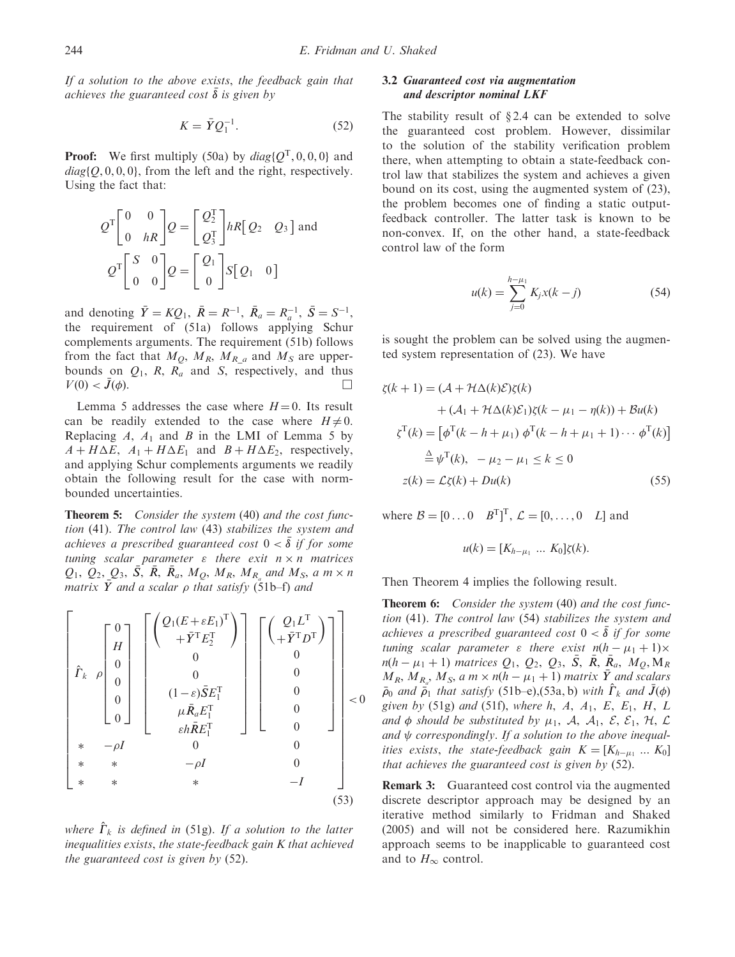If a solution to the above exists, the feedback gain that achieves the guaranteed cost  $\overline{\delta}$  is given by

$$
K = \bar{Y}Q_1^{-1}.\tag{52}
$$

**Proof:** We first multiply (50a) by  $diag\{Q^{T}, 0, 0, 0\}$  and  $diag\{Q, 0, 0, 0\}$ , from the left and the right, respectively. Using the fact that:

$$
Q^{T}\begin{bmatrix} 0 & 0 \\ 0 & hR \end{bmatrix} Q = \begin{bmatrix} Q_{2}^{T} \\ Q_{3}^{T} \end{bmatrix} hR \begin{bmatrix} Q_{2} & Q_{3} \end{bmatrix}
$$
 and  

$$
Q^{T}\begin{bmatrix} S & 0 \\ 0 & 0 \end{bmatrix} Q = \begin{bmatrix} Q_{1} \\ 0 \end{bmatrix} S \begin{bmatrix} Q_{1} & 0 \end{bmatrix}
$$

and denoting  $\bar{Y} = KQ_1$ ,  $\bar{R} = R^{-1}$ ,  $\bar{R}_a = R_a^{-1}$ ,  $\bar{S} = S^{-1}$ , the requirement of (51a) follows applying Schur complements arguments. The requirement (51b) follows from the fact that  $M_Q$ ,  $M_R$ ,  $M_{R_a}$  and  $M_S$  are upperbounds on  $Q_1$ , R, R<sub>a</sub> and S, respectively, and thus  $V(0) < J(\phi)$ .  $(\phi)$ .

Lemma 5 addresses the case where  $H = 0$ . Its result can be readily extended to the case where  $H \neq 0$ . Replacing  $A$ ,  $A_1$  and  $B$  in the LMI of Lemma 5 by  $A + H\Delta E$ ,  $A_1 + H\Delta E_1$  and  $B + H\Delta E_2$ , respectively, and applying Schur complements arguments we readily obtain the following result for the case with normbounded uncertainties.

Theorem 5: Consider the system (40) and the cost function (41). The control law (43) stabilizes the system and achieves a prescribed guaranteed cost  $0 < \bar{\delta}$  if for some tuning scalar parameter  $\varepsilon$  there exit  $n \times n$  matrices  $Q_1$ ,  $Q_2$ ,  $Q_3$ ,  $\overline{S}$ ,  $\overline{R}$ ,  $\overline{R}_a$ ,  $M_Q$ ,  $M_R$ ,  $M_{R_a}$  and  $M_S$ , a  $m \times n$ matrix  $\bar{Y}$  and a scalar  $\rho$  that satisfy (51b–f) and

$$
\begin{bmatrix}\n0 \\
H \\
0 \\
0 \\
0 \\
0\n\end{bmatrix}\n\begin{bmatrix}\nQ_1(E + \varepsilon E_1)^T \\
+\bar{Y}^T E_2^T \\
0 \\
0 \\
0 \\
\mu \bar{R}_a E_1^T \\
\kappa + \sigma - \rho I\n\end{bmatrix}\n\begin{bmatrix}\nQ_1 L^T \\
+\bar{Y}^T D^T\n\end{bmatrix} \\
\mu \bar{R}_a E_1^T \\
0 \\
\kappa + \sigma - \rho I\n\end{bmatrix}\n\begin{bmatrix}\nQ_1 L^T \\
0 \\
0 \\
0 \\
0 \\
0\n\end{bmatrix}\n $\begin{bmatrix}\n0 \\
0 \\
0 \\
0 \\
0 \\
0\n\end{bmatrix}\n $\begin{bmatrix}\n0 \\
0 \\
0 \\
\kappa E_1^T\n\end{bmatrix}$ \n $\begin{bmatrix}\n0 \\
0 \\
0 \\
\kappa E_1^T\n\end{bmatrix}\n\begin{bmatrix}\n0 \\
0 \\
0 \\
\kappa E_1^T\n\end{bmatrix}\n\begin{bmatrix}\n0 \\
0 \\
0 \\
0 \\
0 \\
0\n\end{bmatrix}\n $\begin{bmatrix}\n0 \\
0 \\
0 \\
0 \\
0 \\
0\n\end{bmatrix}$ \n $\begin{bmatrix}\n0 \\
0 \\
0 \\
\kappa + \kappa - \rho I\n\end{bmatrix}$ \n $\begin{bmatrix}\n0 \\
0 \\
0 \\
\kappa + \kappa - \rho I\n\end{bmatrix}$ \n $\begin{bmatrix}\n0 \\
0 \\
0 \\
0 \\
\kappa + \kappa - I\n\end{bmatrix}$ \n $\begin{bmatrix}\n0 \\
0 \\
0 \\
0 \\
0\n\end{bmatrix}$ \n $\begin{bmatrix}\n0 \\
0 \\
0 \\
0 \\
0 \\
0\n\end{bmatrix}$ \n $\begin{bmatrix}\n0 \\
0 \\
0 \\
0 \\
0 \\
0\n\end{bmatrix}$ \n $\begin{bmatrix}\n0 \\
0 \\
0 \\
0 \\
0 \\
0\n\end{bmatrix}$ \n $\begin{bmatrix}\n0 \\
0 \\
0 \\
0 \\
0 \\
0\n\end{bmatrix}$$$
$$

where  $\hat{\Gamma}_k$  is defined in (51g). If a solution to the latter inequalities exists, the state-feedback gain K that achieved the guaranteed cost is given by (52).

## 3.2 Guaranteed cost via augmentation and descriptor nominal LKF

The stability result of  $\S 2.4$  can be extended to solve the guaranteed cost problem. However, dissimilar to the solution of the stability verification problem there, when attempting to obtain a state-feedback control law that stabilizes the system and achieves a given bound on its cost, using the augmented system of (23), the problem becomes one of finding a static outputfeedback controller. The latter task is known to be non-convex. If, on the other hand, a state-feedback control law of the form

$$
u(k) = \sum_{j=0}^{h-\mu_1} K_j x(k-j)
$$
 (54)

is sought the problem can be solved using the augmented system representation of (23). We have

$$
\zeta(k+1) = (\mathcal{A} + \mathcal{H}\Delta(k)\mathcal{E})\zeta(k)
$$
  
+ (\mathcal{A}\_1 + \mathcal{H}\Delta(k)\mathcal{E}\_1)\zeta(k - \mu\_1 - \eta(k)) + \mathcal{B}u(k)  

$$
\zeta^{\mathrm{T}}(k) = [\phi^{\mathrm{T}}(k - h + \mu_1) \phi^{\mathrm{T}}(k - h + \mu_1 + 1) \cdots \phi^{\mathrm{T}}(k)]
$$
  

$$
\stackrel{\Delta}{=} \psi^{\mathrm{T}}(k), \quad -\mu_2 - \mu_1 \le k \le 0
$$
  

$$
z(k) = \mathcal{L}\zeta(k) + Du(k)
$$
 (55)

where  $B = [0 \dots 0 \quad B^T]^T$ ,  $\mathcal{L} = [0, \dots, 0 \quad L]$  and

$$
u(k) = [K_{h-\mu_1} \dots K_0] \zeta(k).
$$

Then Theorem 4 implies the following result.

Theorem 6: Consider the system (40) and the cost function (41). The control law (54) stabilizes the system and achieves a prescribed guaranteed cost  $0 < \overline{\delta}$  if for some tuning scalar parameter  $\varepsilon$  there exist  $n(h - \mu_1 + 1) \times$  $n(h - \mu_1 + 1)$  matrices  $Q_1, Q_2, Q_3, \bar{S}, \bar{R}, \bar{R}_a, M_Q, M_R$  $M_R$ ,  $M_{R_o}$ ,  $M_S$ , a m  $\times$  n(h –  $\mu_1$  + 1) matrix  $\bar{Y}$  and scalars  $\bar{\rho}_0$  and  $\bar{\rho}_1$  that satisfy (51b–e),(53a, b) with  $\hat{\Gamma}_k$  and  $\bar{J}(\phi)$ given by (51g) and (51f), where h, A,  $A_1$ , E, E<sub>1</sub>, H, L and  $\phi$  should be substituted by  $\mu_1$ , A, A<sub>1</sub>, E, E<sub>1</sub>, H, L and  $\psi$  correspondingly. If a solution to the above inequalities exists, the state-feedback gain  $K = [K_{h-\mu_1} ... K_0]$ that achieves the guaranteed cost is given by (52).

Remark 3: Guaranteed cost control via the augmented discrete descriptor approach may be designed by an iterative method similarly to Fridman and Shaked (2005) and will not be considered here. Razumikhin approach seems to be inapplicable to guaranteed cost and to  $H_{\infty}$  control.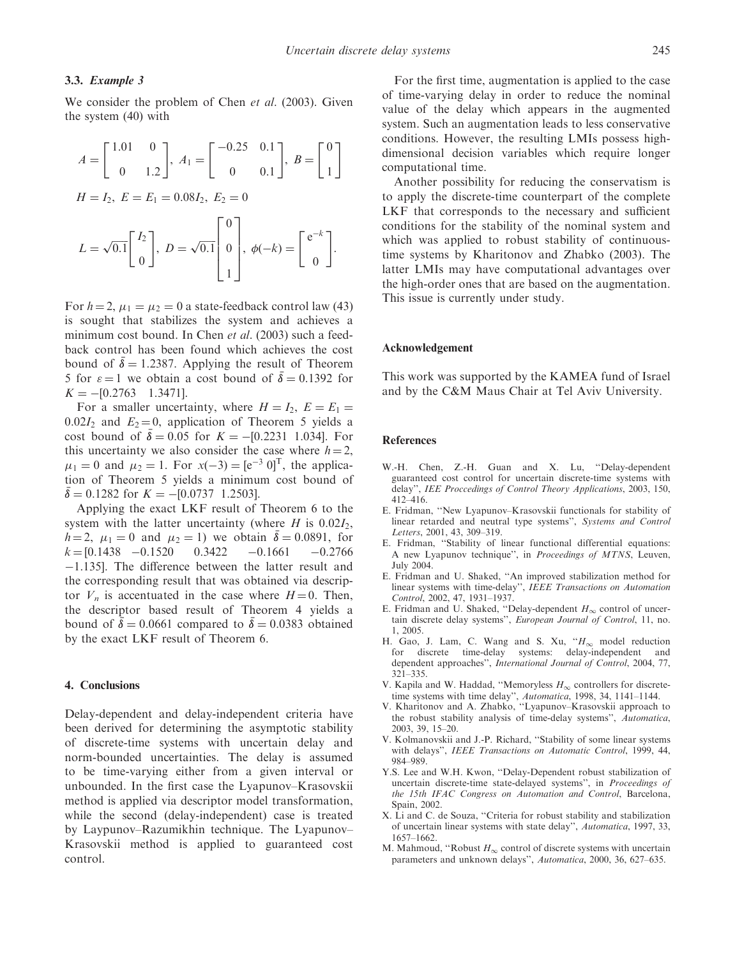## 3.3. Example 3

We consider the problem of Chen et al. (2003). Given the system (40) with

$$
A = \begin{bmatrix} 1.01 & 0 \\ 0 & 1.2 \end{bmatrix}, A_1 = \begin{bmatrix} -0.25 & 0.1 \\ 0 & 0.1 \end{bmatrix}, B = \begin{bmatrix} 0 \\ 1 \end{bmatrix}
$$
  
\n
$$
H = I_2, E = E_1 = 0.08I_2, E_2 = 0
$$
  
\n
$$
L = \sqrt{0.1} \begin{bmatrix} I_2 \\ 0 \end{bmatrix}, D = \sqrt{0.1} \begin{bmatrix} 0 \\ 0 \\ 1 \end{bmatrix}, \phi(-k) = \begin{bmatrix} e^{-k} \\ 0 \end{bmatrix}.
$$

For  $h = 2$ ,  $\mu_1 = \mu_2 = 0$  a state-feedback control law (43) is sought that stabilizes the system and achieves a minimum cost bound. In Chen *et al.* (2003) such a feedback control has been found which achieves the cost bound of  $\overline{\delta} = 1.2387$ . Applying the result of Theorem 5 for  $\varepsilon = 1$  we obtain a cost bound of  $\overline{\delta} = 0.1392$  for  $K = -[0.2763 \quad 1.3471].$ 

For a smaller uncertainty, where  $H = I_2$ ,  $E = E_1$  $0.02I_2$  and  $E_2 = 0$ , application of Theorem 5 yields a cost bound of  $\bar{\delta} = 0.05$  for  $K = -[0.2231 \ 1.034]$ . For this uncertainty we also consider the case where  $h = 2$ ,  $\mu_1 = 0$  and  $\mu_2 = 1$ . For  $x(-3) = [e^{-3} \ 0]^T$ , the application of Theorem 5 yields a minimum cost bound of  $\bar{\delta} = 0.1282$  for  $K = -[0.0737 \; 1.2503]$ .

Applying the exact LKF result of Theorem 6 to the system with the latter uncertainty (where  $H$  is 0.02 $I_2$ ,  $h = 2$ ,  $\mu_1 = 0$  and  $\mu_2 = 1$ ) we obtain  $\bar{\delta} = 0.0891$ , for  $k = [0.1438 \quad -0.1520 \quad 0.3422 \quad -0.1661$  $-0.2766$ -1.135]. The difference between the latter result and the corresponding result that was obtained via descriptor  $V_n$  is accentuated in the case where  $H = 0$ . Then, the descriptor based result of Theorem 4 yields a bound of  $\bar{\delta} = 0.0661$  compared to  $\bar{\delta} = 0.0383$  obtained by the exact LKF result of Theorem 6.

### 4. Conclusions

Delay-dependent and delay-independent criteria have been derived for determining the asymptotic stability of discrete-time systems with uncertain delay and norm-bounded uncertainties. The delay is assumed to be time-varying either from a given interval or unbounded. In the first case the Lyapunov–Krasovskii method is applied via descriptor model transformation, while the second (delay-independent) case is treated by Laypunov–Razumikhin technique. The Lyapunov– Krasovskii method is applied to guaranteed cost control.

For the first time, augmentation is applied to the case of time-varying delay in order to reduce the nominal value of the delay which appears in the augmented system. Such an augmentation leads to less conservative conditions. However, the resulting LMIs possess highdimensional decision variables which require longer computational time.

Another possibility for reducing the conservatism is to apply the discrete-time counterpart of the complete LKF that corresponds to the necessary and sufficient conditions for the stability of the nominal system and which was applied to robust stability of continuoustime systems by Kharitonov and Zhabko (2003). The latter LMIs may have computational advantages over the high-order ones that are based on the augmentation. This issue is currently under study.

#### Acknowledgement

This work was supported by the KAMEA fund of Israel and by the C&M Maus Chair at Tel Aviv University.

#### References

- W.-H. Chen, Z.-H. Guan and X. Lu, ''Delay-dependent guaranteed cost control for uncertain discrete-time systems with delay'', IEE Proccedings of Control Theory Applications, 2003, 150, 412–416.
- E. Fridman, ''New Lyapunov–Krasovskii functionals for stability of linear retarded and neutral type systems'', Systems and Control Letters, 2001, 43, 309–319.
- E. Fridman, ''Stability of linear functional differential equations: A new Lyapunov technique", in *Proceedings of MTNS*, Leuven, July 2004.
- E. Fridman and U. Shaked, ''An improved stabilization method for linear systems with time-delay'', IEEE Transactions on Automation Control, 2002, 47, 1931–1937.
- E. Fridman and U. Shaked, "Delay-dependent  $H_{\infty}$  control of uncertain discrete delay systems", European Journal of Control, 11, no. 1, 2005.
- H. Gao, J. Lam, C. Wang and S. Xu, " $H_{\infty}$  model reduction for discrete time-delay systems: delay-independent and dependent approaches'', International Journal of Control, 2004, 77, 321–335.
- V. Kapila and W. Haddad, "Memoryless  $H_{\infty}$  controllers for discretetime systems with time delay", Automatica, 1998, 34, 1141-1144.
- V. Kharitonov and A. Zhabko, ''Lyapunov–Krasovskii approach to the robust stability analysis of time-delay systems'', Automatica, 2003, 39, 15–20.
- V. Kolmanovskii and J.-P. Richard, ''Stability of some linear systems with delays'', IEEE Transactions on Automatic Control, 1999, 44, 984–989.
- Y.S. Lee and W.H. Kwon, ''Delay-Dependent robust stabilization of uncertain discrete-time state-delayed systems'', in Proceedings of the 15th IFAC Congress on Automation and Control, Barcelona, Spain, 2002.
- X. Li and C. de Souza, ''Criteria for robust stability and stabilization of uncertain linear systems with state delay'', Automatica, 1997, 33, 1657–1662.
- M. Mahmoud, "Robust  $H_{\infty}$  control of discrete systems with uncertain parameters and unknown delays", Automatica, 2000, 36, 627-635.